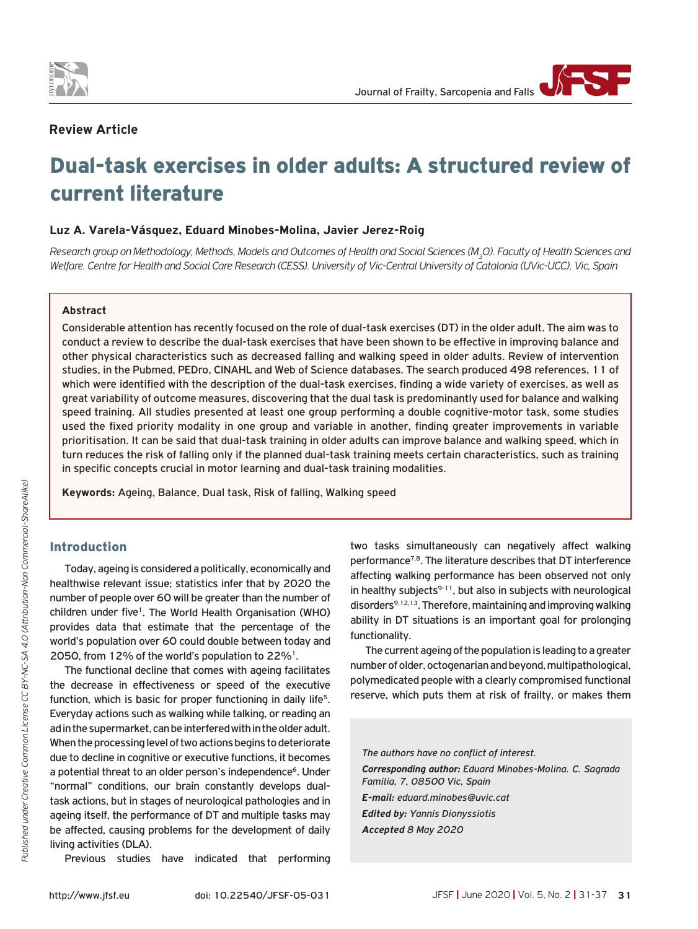

## **Review Article**

# Dual-task exercises in older adults: A structured review of current literature

## **Luz A. Varela-Vásquez, Eduard Minobes-Molina, Javier Jerez-Roig**

*Research group on Methodology, Methods, Models and Outcomes of Health and Social Sciences (M3O). Faculty of Health Sciences and Welfare. Centre for Health and Social Care Research (CESS). University of Vic-Central University of Catalonia (UVic-UCC), Vic, Spain*

## **Abstract**

Considerable attention has recently focused on the role of dual-task exercises (DT) in the older adult. The aim was to conduct a review to describe the dual-task exercises that have been shown to be effective in improving balance and other physical characteristics such as decreased falling and walking speed in older adults. Review of intervention studies, in the Pubmed, PEDro, CINAHL and Web of Science databases. The search produced 498 references, 11 of which were identified with the description of the dual-task exercises, finding a wide variety of exercises, as well as great variability of outcome measures, discovering that the dual task is predominantly used for balance and walking speed training. All studies presented at least one group performing a double cognitive-motor task, some studies used the fixed priority modality in one group and variable in another, finding greater improvements in variable prioritisation. It can be said that dual-task training in older adults can improve balance and walking speed, which in turn reduces the risk of falling only if the planned dual-task training meets certain characteristics, such as training in specific concepts crucial in motor learning and dual-task training modalities.

**Keywords:** Ageing, Balance, Dual task, Risk of falling, Walking speed

## Introduction

Today, ageing is considered a politically, economically and healthwise relevant issue; statistics infer that by 2020 the number of people over 60 will be greater than the number of children under five<sup>1</sup>. The World Health Organisation (WHO) provides data that estimate that the percentage of the world's population over 60 could double between today and 2050, from 12% of the world's population to 22%1.

The functional decline that comes with ageing facilitates the decrease in effectiveness or speed of the executive function, which is basic for proper functioning in daily life<sup>5</sup>. Everyday actions such as walking while talking, or reading an ad in the supermarket, can be interfered with in the older adult. When the processing level of two actions begins to deteriorate due to decline in cognitive or executive functions, it becomes a potential threat to an older person's independence<sup>6</sup>. Under "normal" conditions, our brain constantly develops dualtask actions, but in stages of neurological pathologies and in ageing itself, the performance of DT and multiple tasks may be affected, causing problems for the development of daily living activities (DLA).

Previous studies have indicated that performing

two tasks simultaneously can negatively affect walking performance<sup>7,8</sup>. The literature describes that DT interference affecting walking performance has been observed not only in healthy subjects $9-11$ , but also in subjects with neurological disorders<sup>9,12,13</sup>. Therefore, maintaining and improving walking ability in DT situations is an important goal for prolonging functionality.

The current ageing of the population is leading to a greater number of older, octogenarian and beyond, multipathological, polymedicated people with a clearly compromised functional reserve, which puts them at risk of frailty, or makes them

*The authors have no conflict of interest. Corresponding author: Eduard Minobes-Molina. C. Sagrada Familia, 7, 08500 Vic, Spain E-mail: eduard.minobes@uvic.cat Edited by: Yannis Dionyssiotis Accepted 8 May 2020*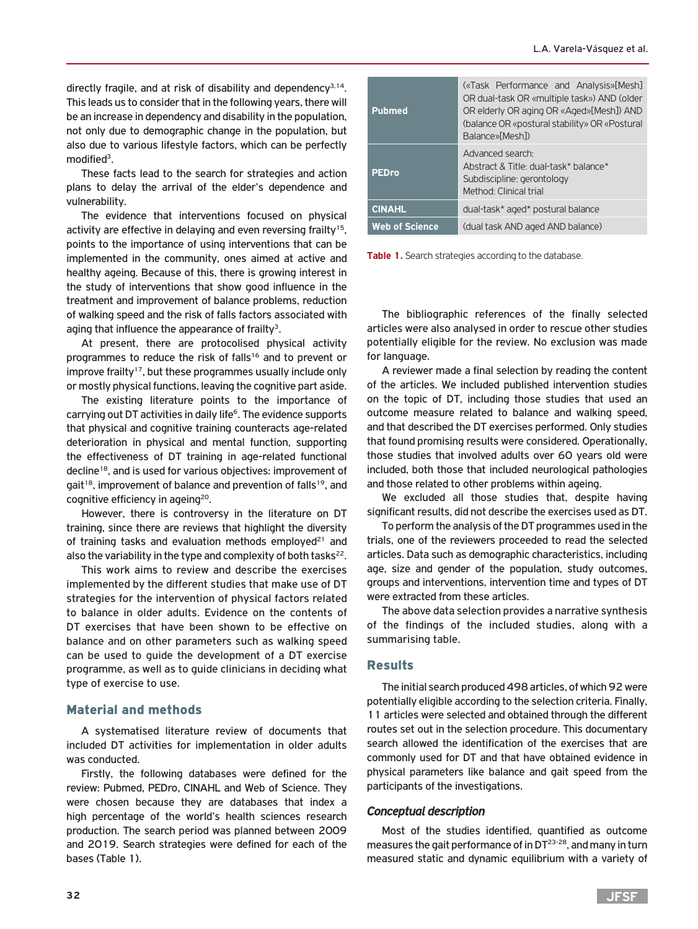directly fragile, and at risk of disability and dependency<sup>3,14</sup>. This leads us to consider that in the following years, there will be an increase in dependency and disability in the population, not only due to demographic change in the population, but also due to various lifestyle factors, which can be perfectly modified3.

These facts lead to the search for strategies and action plans to delay the arrival of the elder's dependence and vulnerability.

The evidence that interventions focused on physical activity are effective in delaying and even reversing frailty<sup>15</sup>, points to the importance of using interventions that can be implemented in the community, ones aimed at active and healthy ageing. Because of this, there is growing interest in the study of interventions that show good influence in the treatment and improvement of balance problems, reduction of walking speed and the risk of falls factors associated with aging that influence the appearance of frailty<sup>3</sup>.

At present, there are protocolised physical activity programmes to reduce the risk of falls<sup>16</sup> and to prevent or improve frailty<sup>17</sup>, but these programmes usually include only or mostly physical functions, leaving the cognitive part aside.

The existing literature points to the importance of carrying out DT activities in daily life<sup>6</sup>. The evidence supports that physical and cognitive training counteracts age-related deterioration in physical and mental function, supporting the effectiveness of DT training in age-related functional decline18, and is used for various objectives: improvement of gait<sup>18</sup>, improvement of balance and prevention of falls<sup>19</sup>, and cognitive efficiency in ageing<sup>20</sup>.

However, there is controversy in the literature on DT training, since there are reviews that highlight the diversity of training tasks and evaluation methods employed<sup>21</sup> and also the variability in the type and complexity of both tasks $^{22}$ .

This work aims to review and describe the exercises implemented by the different studies that make use of DT strategies for the intervention of physical factors related to balance in older adults. Evidence on the contents of DT exercises that have been shown to be effective on balance and on other parameters such as walking speed can be used to guide the development of a DT exercise programme, as well as to guide clinicians in deciding what type of exercise to use.

# Material and methods

A systematised literature review of documents that included DT activities for implementation in older adults was conducted.

Firstly, the following databases were defined for the review: Pubmed, PEDro, CINAHL and Web of Science. They were chosen because they are databases that index a high percentage of the world's health sciences research production. The search period was planned between 2009 and 2019. Search strategies were defined for each of the bases (Table 1).

| <b>Pubmed</b>         | («Task Performance and Analysis»[Mesh]<br>OR dual-task OR «multiple task») AND (older<br>OR elderly OR aging OR «Aged»[Mesh]) AND<br>(balance OR «postural stability» OR «Postural<br>Balance»[Mesh]) |  |  |  |  |
|-----------------------|-------------------------------------------------------------------------------------------------------------------------------------------------------------------------------------------------------|--|--|--|--|
| <b>PEDro</b>          | Advanced search:<br>Abstract & Title: dual-task* balance*<br>Subdiscipline: gerontology<br>Method: Clinical trial                                                                                     |  |  |  |  |
| <b>CINAHL</b>         | dual-task* aged* postural balance                                                                                                                                                                     |  |  |  |  |
| <b>Web of Science</b> | (dual task AND aged AND balance)                                                                                                                                                                      |  |  |  |  |

**Table 1.** Search strategies according to the database.

The bibliographic references of the finally selected articles were also analysed in order to rescue other studies potentially eligible for the review. No exclusion was made for language.

A reviewer made a final selection by reading the content of the articles. We included published intervention studies on the topic of DT, including those studies that used an outcome measure related to balance and walking speed, and that described the DT exercises performed. Only studies that found promising results were considered. Operationally, those studies that involved adults over 60 years old were included, both those that included neurological pathologies and those related to other problems within ageing.

We excluded all those studies that, despite having significant results, did not describe the exercises used as DT.

To perform the analysis of the DT programmes used in the trials, one of the reviewers proceeded to read the selected articles. Data such as demographic characteristics, including age, size and gender of the population, study outcomes, groups and interventions, intervention time and types of DT were extracted from these articles.

The above data selection provides a narrative synthesis of the findings of the included studies, along with a summarising table.

# Results

The initial search produced 498 articles, of which 92 were potentially eligible according to the selection criteria. Finally, 11 articles were selected and obtained through the different routes set out in the selection procedure. This documentary search allowed the identification of the exercises that are commonly used for DT and that have obtained evidence in physical parameters like balance and gait speed from the participants of the investigations.

# *Conceptual description*

Most of the studies identified, quantified as outcome measures the gait performance of in DT<sup>23-28</sup>, and many in turn measured static and dynamic equilibrium with a variety of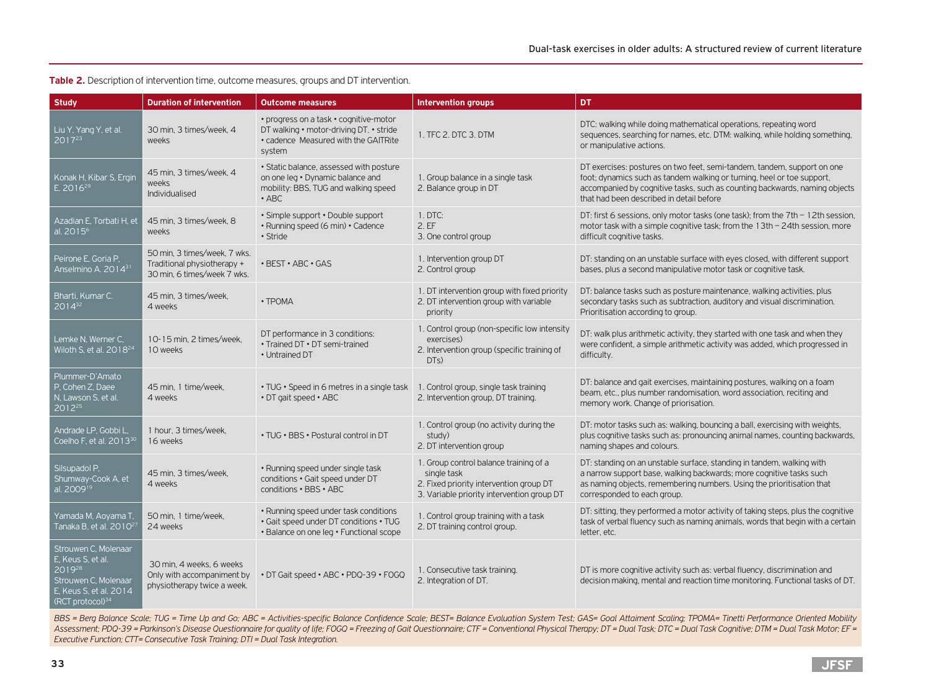## **Table 2.** Description of intervention time, outcome measures, groups and DT intervention.

| <b>Study</b>                                                                                                                                  | <b>Duration of intervention</b>                                                            | <b>Outcome measures</b>                                                                                                             | <b>Intervention groups</b>                                                                                                                     | DT                                                                                                                                                                                                                                                                          |
|-----------------------------------------------------------------------------------------------------------------------------------------------|--------------------------------------------------------------------------------------------|-------------------------------------------------------------------------------------------------------------------------------------|------------------------------------------------------------------------------------------------------------------------------------------------|-----------------------------------------------------------------------------------------------------------------------------------------------------------------------------------------------------------------------------------------------------------------------------|
| Liu Y, Yang Y, et al.<br>2017 <sup>23</sup>                                                                                                   | 30 min. 3 times/week, 4<br>weeks                                                           | • progress on a task • cognitive-motor<br>DT walking • motor-driving DT. • stride<br>• cadence Measured with the GAITRite<br>system | 1. TFC 2. DTC 3. DTM                                                                                                                           | DTC: walking while doing mathematical operations, repeating word<br>sequences, searching for names, etc. DTM: walking, while holding something,<br>or manipulative actions.                                                                                                 |
| Konak H, Kibar S, Ergin<br>E. 2016 <sup>29</sup>                                                                                              | 45 min, 3 times/week, 4<br>weeks<br>Individualised                                         | • Static balance, assessed with posture<br>on one leg . Dynamic balance and<br>mobility: BBS, TUG and walking speed<br>$\cdot$ ABC  | 1. Group balance in a single task<br>2. Balance group in DT                                                                                    | DT exercises: postures on two feet, semi-tandem, tandem, support on one<br>foot; dynamics such as tandem walking or turning, heel or toe support,<br>accompanied by cognitive tasks, such as counting backwards, naming objects<br>that had been described in detail before |
| Azadian E, Torbati H, et<br>al. 2015 <sup>6</sup>                                                                                             | 45 min, 3 times/week, 8<br>weeks                                                           | • Simple support • Double support<br>• Running speed (6 min) • Cadence<br>• Stride                                                  | 1. DTC:<br>2.EF<br>3. One control group                                                                                                        | DT: first 6 sessions, only motor tasks (one task); from the 7th - 12th session,<br>motor task with a simple cognitive task; from the 13th - 24th session, more<br>difficult cognitive tasks.                                                                                |
| Peirone E, Goria P,<br>Anselmino A. 201431                                                                                                    | 50 min, 3 times/week, 7 wks.<br>Traditional physiotherapy +<br>30 min, 6 times/week 7 wks. | • BEST • ABC • GAS                                                                                                                  | 1. Intervention group DT<br>2. Control group                                                                                                   | DT: standing on an unstable surface with eyes closed, with different support<br>bases, plus a second manipulative motor task or cognitive task.                                                                                                                             |
| Bharti, Kumar C.<br>$2014^{32}$                                                                                                               | 45 min, 3 times/week,<br>4 weeks                                                           | • TPOMA                                                                                                                             | 1. DT intervention group with fixed priority<br>2. DT intervention group with variable<br>priority                                             | DT: balance tasks such as posture maintenance, walking activities, plus<br>secondary tasks such as subtraction, auditory and visual discrimination.<br>Prioritisation according to group.                                                                                   |
| Lemke N. Werner C.<br>Wiloth S, et al. $2018^{24}$                                                                                            | 10-15 min. 2 times/week.<br>10 weeks                                                       | DT performance in 3 conditions:<br>• Trained DT • DT semi-trained<br>• Untrained DT                                                 | 1. Control group (non-specific low intensity<br>exercises)<br>2. Intervention group (specific training of<br>DT <sub>S</sub> )                 | DT: walk plus arithmetic activity, they started with one task and when they<br>were confident, a simple arithmetic activity was added, which progressed in<br>difficulty.                                                                                                   |
| Plummer-D'Amato<br>P, Cohen Z, Daee<br>N, Lawson S, et al.<br>2012 <sup>25</sup>                                                              | 45 min, 1 time/week,<br>4 weeks                                                            | • TUG • Speed in 6 metres in a single task<br>• DT gait speed • ABC                                                                 | 1. Control group, single task training<br>2. Intervention group, DT training.                                                                  | DT: balance and gait exercises, maintaining postures, walking on a foam<br>beam, etc., plus number randomisation, word association, reciting and<br>memory work. Change of priorisation.                                                                                    |
| Andrade LP, Gobbi L,<br>Coelho F, et al. 2013 <sup>30</sup>                                                                                   | 1 hour. 3 times/week.<br>16 weeks                                                          | • TUG • BBS • Postural control in DT                                                                                                | 1. Control group (no activity during the<br>study)<br>2. DT intervention group                                                                 | DT: motor tasks such as: walking, bouncing a ball, exercising with weights,<br>plus cognitive tasks such as: pronouncing animal names, counting backwards,<br>naming shapes and colours.                                                                                    |
| Silsupadol P.<br>Shumway-Cook A, et<br>al. 2009 <sup>19</sup>                                                                                 | 45 min, 3 times/week,<br>4 weeks                                                           | • Running speed under single task<br>conditions . Gait speed under DT<br>conditions . BBS . ABC                                     | 1. Group control balance training of a<br>single task<br>2. Fixed priority intervention group DT<br>3. Variable priority intervention group DT | DT: standing on an unstable surface, standing in tandem, walking with<br>a narrow support base, walking backwards; more cognitive tasks such<br>as naming objects, remembering numbers. Using the prioritisation that<br>corresponded to each group.                        |
| Yamada M, Aoyama T,<br>Tanaka B, et al. 2010 <sup>21</sup>                                                                                    | 50 min. 1 time/week.<br>24 weeks                                                           | • Running speed under task conditions<br>• Gait speed under DT conditions • TUG<br>• Balance on one leg • Functional scope          | 1. Control group training with a task<br>2. DT training control group.                                                                         | DT: sitting, they performed a motor activity of taking steps, plus the cognitive<br>task of verbal fluency such as naming animals, words that begin with a certain<br>letter, etc.                                                                                          |
| Strouwen C, Molenaar<br>E, Keus S, et al.<br>$\sqrt{2019^{28}}$<br>Strouwen C, Molenaar<br>E. Keus S. et al. 2014<br>$(RCT$ protocol $)^{34}$ | 30 min. 4 weeks, 6 weeks<br>Only with accompaniment by<br>physiotherapy twice a week.      | • DT Gait speed • ABC • PDQ-39 • FOGQ                                                                                               | 1. Consecutive task training.<br>2. Integration of DT.                                                                                         | DT is more cognitive activity such as: verbal fluency, discrimination and<br>decision making, mental and reaction time monitoring. Functional tasks of DT.                                                                                                                  |

BBS = Berg Balance Scale; TUG = Time Up and Go; ABC = Activities-specific Balance Confidence Scale; BEST= Balance Evaluation System Test; GAS= Goal Attaiment Scaling; TPOMA= Tinetti Performance Oriented Mobility Assessment; PDQ-39 = Parkinson's Disease Questionnaire for quality of life; FOGQ = Freezing of Gait Questionnaire; CTF = Conventional Physical Therapy; DT = Dual Task; DTC = Dual Task Cognitive; DTM = Dual Task Motor; EF = *Executive Function; CTT= Consecutive Task Training; DTI = Dual Task Integration.*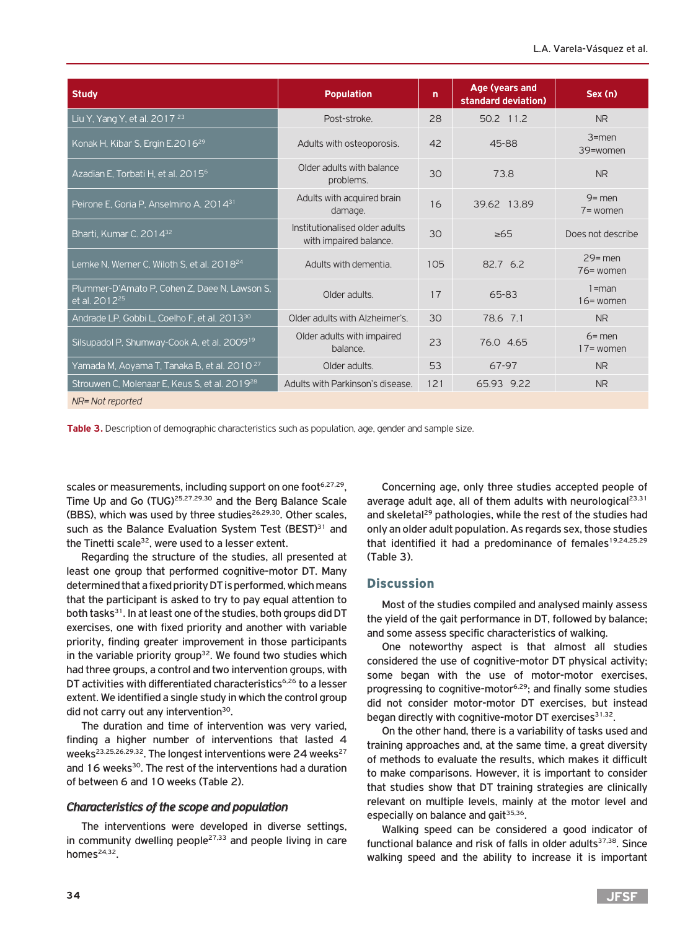| <b>Study</b>                                                               | <b>Population</b>                                        | n   | Age (years and<br>standard deviation) | Sex (n)                   |
|----------------------------------------------------------------------------|----------------------------------------------------------|-----|---------------------------------------|---------------------------|
| Liu Y, Yang Y, et al. $2017^{23}$                                          | Post-stroke.                                             | 28  | 50.2 11.2                             | <b>NR</b>                 |
| Konak H, Kibar S, Ergin E.2016 <sup>29</sup>                               | Adults with osteoporosis.                                | 42  | 45-88                                 | $3$ = men<br>39=women     |
| Azadian E, Torbati H, et al. 2015 <sup>6</sup>                             | Older adults with balance<br>problems.                   | 30  | 73.8                                  | <b>NR</b>                 |
| Peirone E, Goria P, Anselmino A, 2014 <sup>31</sup>                        | Adults with acquired brain<br>damage.                    | 16  | 39.62 13.89                           | $9 =$ men<br>$7 = w$ omen |
| Bharti, Kumar C. 2014 <sup>32</sup>                                        | Institutionalised older adults<br>with impaired balance. | 30  | $\geq 65$                             | Does not describe         |
| Lemke N, Werner C, Wiloth S, et al. 2018 <sup>24</sup>                     | Adults with dementia.                                    | 105 | 82.7 6.2                              | $29$ = men<br>76= women   |
| Plummer-D'Amato P, Cohen Z, Daee N, Lawson S,<br>et al. 2012 <sup>25</sup> | Older adults.                                            | 17  | 65-83                                 | $1 = man$<br>$16$ = women |
| Andrade LP, Gobbi L, Coelho F, et al. 2013 <sup>30</sup>                   | Older adults with Alzheimer's.                           | 30  | 78.6 7.1                              | <b>NR</b>                 |
| Silsupadol P, Shumway-Cook A, et al. 2009 <sup>19</sup>                    | Older adults with impaired<br>balance.                   | 23  | 76.0 4.65                             | $6 =$ men<br>$17 =$ women |
| Yamada M, Aoyama T, Tanaka B, et al. 2010 <sup>27</sup>                    | Older adults.                                            | 53  | 67-97                                 | N <sub>R</sub>            |
| Strouwen C, Molenaar E, Keus S, et al. 2019 <sup>28</sup>                  | Adults with Parkinson's disease.                         | 121 | 65.93 9.22                            | <b>NR</b>                 |
| NR= Not reported                                                           |                                                          |     |                                       |                           |

**Table 3.** Description of demographic characteristics such as population, age, gender and sample size.

scales or measurements, including support on one foot<sup>6,27,29</sup>, Time Up and Go (TUG)25,27,29,30 and the Berg Balance Scale (BBS), which was used by three studies<sup>26,29,30</sup>. Other scales, such as the Balance Evaluation System Test (BEST)<sup>31</sup> and the Tinetti scale $32$ , were used to a lesser extent.

Regarding the structure of the studies, all presented at least one group that performed cognitive-motor DT. Many determined that a fixed priority DT is performed, which means that the participant is asked to try to pay equal attention to both tasks<sup>31</sup>. In at least one of the studies, both groups did DT exercises, one with fixed priority and another with variable priority, finding greater improvement in those participants in the variable priority group<sup>32</sup>. We found two studies which had three groups, a control and two intervention groups, with DT activities with differentiated characteristics<sup>6,26</sup> to a lesser extent. We identified a single study in which the control group did not carry out any intervention<sup>30</sup>.

The duration and time of intervention was very varied, finding a higher number of interventions that lasted 4 weeks<sup>23,25,26,29,32</sup>. The longest interventions were 24 weeks<sup>27</sup> and 16 weeks<sup>30</sup>. The rest of the interventions had a duration of between 6 and 10 weeks (Table 2).

## *Characteristics of the scope and population*

The interventions were developed in diverse settings, in community dwelling people $27,33$  and people living in care homes $24,32$ .

Concerning age, only three studies accepted people of average adult age, all of them adults with neurological<sup>23,31</sup> and skeletal<sup>29</sup> pathologies, while the rest of the studies had only an older adult population. As regards sex, those studies that identified it had a predominance of females<sup>19,24,25,29</sup> (Table 3).

## **Discussion**

Most of the studies compiled and analysed mainly assess the yield of the gait performance in DT, followed by balance; and some assess specific characteristics of walking.

One noteworthy aspect is that almost all studies considered the use of cognitive-motor DT physical activity; some began with the use of motor-motor exercises, progressing to cognitive-motor<sup>6,29</sup>; and finally some studies did not consider motor-motor DT exercises, but instead began directly with cognitive-motor DT exercises<sup>31,32</sup>.

On the other hand, there is a variability of tasks used and training approaches and, at the same time, a great diversity of methods to evaluate the results, which makes it difficult to make comparisons. However, it is important to consider that studies show that DT training strategies are clinically relevant on multiple levels, mainly at the motor level and especially on balance and gait<sup>35,36</sup>.

Walking speed can be considered a good indicator of functional balance and risk of falls in older adults<sup>37,38</sup>. Since walking speed and the ability to increase it is important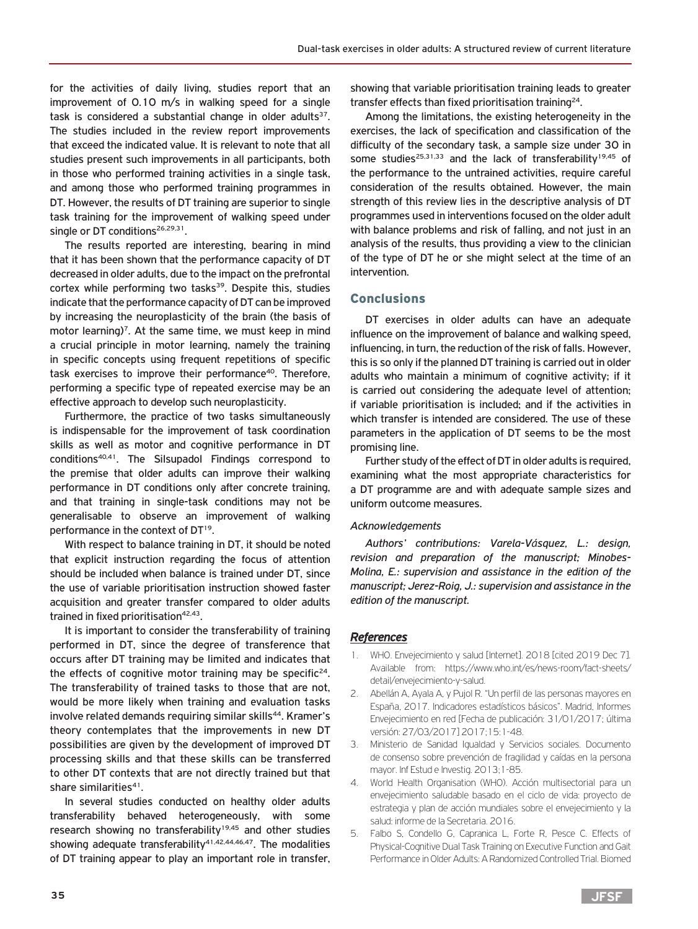for the activities of daily living, studies report that an improvement of 0.10 m/s in walking speed for a single task is considered a substantial change in older adults $37$ . The studies included in the review report improvements that exceed the indicated value. It is relevant to note that all studies present such improvements in all participants, both in those who performed training activities in a single task, and among those who performed training programmes in DT. However, the results of DT training are superior to single task training for the improvement of walking speed under single or DT conditions<sup>26,29,31</sup>.

The results reported are interesting, bearing in mind that it has been shown that the performance capacity of DT decreased in older adults, due to the impact on the prefrontal cortex while performing two tasks<sup>39</sup>. Despite this, studies indicate that the performance capacity of DT can be improved by increasing the neuroplasticity of the brain (the basis of motor learning)<sup>7</sup>. At the same time, we must keep in mind a crucial principle in motor learning, namely the training in specific concepts using frequent repetitions of specific task exercises to improve their performance<sup>40</sup>. Therefore, performing a specific type of repeated exercise may be an effective approach to develop such neuroplasticity.

Furthermore, the practice of two tasks simultaneously is indispensable for the improvement of task coordination skills as well as motor and cognitive performance in DT conditions<sup>40,41</sup>. The Silsupadol Findings correspond to the premise that older adults can improve their walking performance in DT conditions only after concrete training, and that training in single-task conditions may not be generalisable to observe an improvement of walking performance in the context of DT<sup>19</sup>.

With respect to balance training in DT, it should be noted that explicit instruction regarding the focus of attention should be included when balance is trained under DT, since the use of variable prioritisation instruction showed faster acquisition and greater transfer compared to older adults trained in fixed prioritisation<sup>42,43</sup>.

It is important to consider the transferability of training performed in DT, since the degree of transference that occurs after DT training may be limited and indicates that the effects of cognitive motor training may be specific<sup>24</sup>. The transferability of trained tasks to those that are not, would be more likely when training and evaluation tasks involve related demands requiring similar skills<sup>44</sup>. Kramer's theory contemplates that the improvements in new DT possibilities are given by the development of improved DT processing skills and that these skills can be transferred to other DT contexts that are not directly trained but that share similarities<sup>41</sup>.

In several studies conducted on healthy older adults transferability behaved heterogeneously, with some research showing no transferability<sup>19,45</sup> and other studies showing adequate transferability $41,42,44,46,47$ . The modalities of DT training appear to play an important role in transfer,

showing that variable prioritisation training leads to greater transfer effects than fixed prioritisation training<sup>24</sup>.

Among the limitations, the existing heterogeneity in the exercises, the lack of specification and classification of the difficulty of the secondary task, a sample size under 30 in some studies<sup>25,31,33</sup> and the lack of transferability<sup>19,45</sup> of the performance to the untrained activities, require careful consideration of the results obtained. However, the main strength of this review lies in the descriptive analysis of DT programmes used in interventions focused on the older adult with balance problems and risk of falling, and not just in an analysis of the results, thus providing a view to the clinician of the type of DT he or she might select at the time of an intervention.

## Conclusions

DT exercises in older adults can have an adequate influence on the improvement of balance and walking speed, influencing, in turn, the reduction of the risk of falls. However, this is so only if the planned DT training is carried out in older adults who maintain a minimum of cognitive activity; if it is carried out considering the adequate level of attention; if variable prioritisation is included; and if the activities in which transfer is intended are considered. The use of these parameters in the application of DT seems to be the most promising line.

Further study of the effect of DT in older adults is required, examining what the most appropriate characteristics for a DT programme are and with adequate sample sizes and uniform outcome measures.

## *Acknowledgements*

*Authors' contributions: Varela-Vásquez, L.: design, revision and preparation of the manuscript; Minobes-Molina, E.: supervision and assistance in the edition of the manuscript; Jerez-Roig, J.: supervision and assistance in the edition of the manuscript.*

## *References*

- WHO. Envejecimiento y salud [Internet]. 2018 [cited 2019 Dec 7]. Available from: https://www.who.int/es/news-room/fact-sheets/ detail/envejecimiento-y-salud.
- 2. Abellán A, Ayala A, y Pujol R. "Un perfil de las personas mayores en España, 2017. Indicadores estadísticos básicos". Madrid, Informes Envejecimiento en red [Fecha de publicación: 31/01/2017; última versión: 27/03/2017] 2017;15:1-48.
- 3. Ministerio de Sanidad Igualdad y Servicios sociales. Documento de consenso sobre prevención de fragilidad y caídas en la persona mayor. Inf Estud e Investig. 2013;1-85.
- 4. World Health Organisation (WHO). Acción multisectorial para un envejecimiento saludable basado en el ciclo de vida: proyecto de estrategia y plan de acción mundiales sobre el envejecimiento y la salud: informe de la Secretaria. 2016.
- 5. Falbo S, Condello G, Capranica L, Forte R, Pesce C. Effects of Physical-Cognitive Dual Task Training on Executive Function and Gait Performance in Older Adults: A Randomized Controlled Trial. Biomed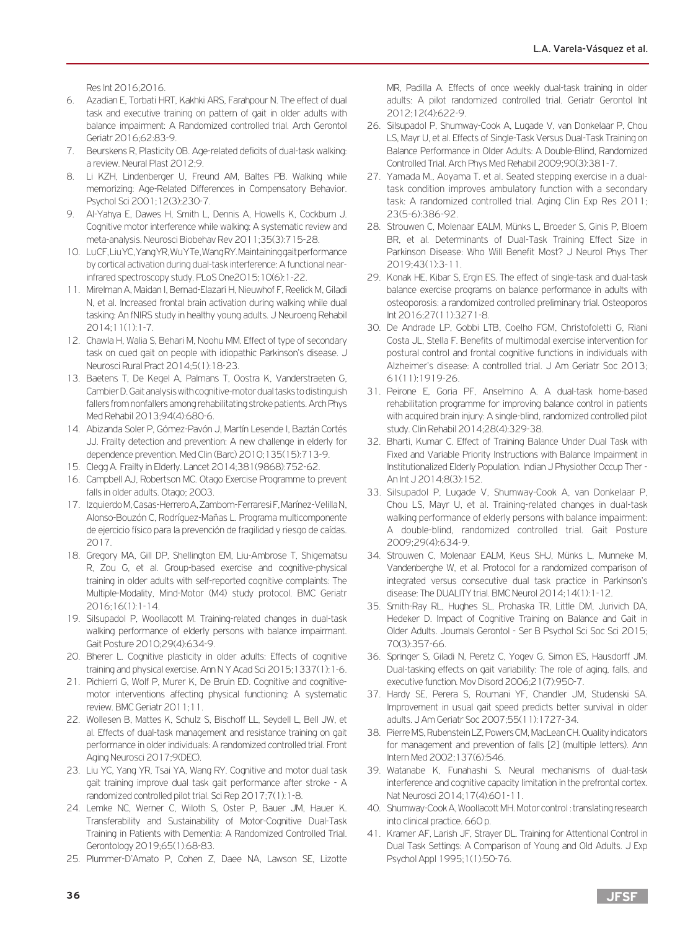Res Int 2016;2016.

- 6. Azadian E, Torbati HRT, Kakhki ARS, Farahpour N. The effect of dual task and executive training on pattern of gait in older adults with balance impairment: A Randomized controlled trial. Arch Gerontol Geriatr 2016;62:83-9.
- 7. Beurskens R, Plasticity OB. Age-related deficits of dual-task walking: a review. Neural Plast 2012;9.
- 8. Li KZH, Lindenberger U, Freund AM, Baltes PB. Walking while memorizing: Age-Related Differences in Compensatory Behavior. Psychol Sci 2001;12(3):230-7.
- 9. Al-Yahya E, Dawes H, Smith L, Dennis A, Howells K, Cockburn J. Cognitive motor interference while walking: A systematic review and meta-analysis. Neurosci Biobehav Rev 2011;35(3):715-28.
- 10. Lu CF, Liu YC, Yang YR, Wu Y Te, Wang RY. Maintaining gait performance by cortical activation during dual-task interference: A functional nearinfrared spectroscopy study. PLoS One2015;10(6):1-22.
- 11. Mirelman A, Maidan I, Bernad-Elazari H, Nieuwhof F, Reelick M, Giladi N, et al. Increased frontal brain activation during walking while dual tasking: An fNIRS study in healthy young adults. J Neuroeng Rehabil 2014;11(1):1-7.
- 12. Chawla H, Walia S, Behari M, Noohu MM. Effect of type of secondary task on cued gait on people with idiopathic Parkinson's disease. J Neurosci Rural Pract 2014;5(1):18-23.
- 13. Baetens T, De Kegel A, Palmans T, Oostra K, Vanderstraeten G, Cambier D. Gait analysis with cognitive-motor dual tasks to distinguish fallers from nonfallers among rehabilitating stroke patients. Arch Phys Med Rehabil 2013;94(4):680-6.
- 14. Abizanda Soler P, Gómez-Pavón J, Martín Lesende I, Baztán Cortés JJ. Frailty detection and prevention: A new challenge in elderly for dependence prevention. Med Clin (Barc) 2010;135(15):713-9.
- 15. Clegg A. Frailty in Elderly. Lancet 2014;381(9868):752-62.
- 16. Campbell AJ, Robertson MC. Otago Exercise Programme to prevent falls in older adults. Otago; 2003.
- 17. Izquierdo M, Casas-Herrero A, Zambom-Ferraresi F, Marínez-Velilla N, Alonso-Bouzón C, Rodríguez-Mañas L. Programa multicomponente de ejercicio físico para la prevención de fragilidad y riesgo de caídas. 2017.
- 18. Gregory MA, Gill DP, Shellington EM, Liu-Ambrose T, Shigematsu R, Zou G, et al. Group-based exercise and cognitive-physical training in older adults with self-reported cognitive complaints: The Multiple-Modality, Mind-Motor (M4) study protocol. BMC Geriatr 2016;16(1):1-14.
- 19. Silsupadol P, Woollacott M. Training-related changes in dual-task walking performance of elderly persons with balance impairmant. Gait Posture 2010;29(4):634-9.
- 20. Bherer L. Cognitive plasticity in older adults: Effects of cognitive training and physical exercise. Ann N Y Acad Sci 2015;1337(1):1-6.
- 21. Pichierri G, Wolf P, Murer K, De Bruin ED. Cognitive and cognitivemotor interventions affecting physical functioning: A systematic review. BMC Geriatr 2011;11.
- 22. Wollesen B, Mattes K, Schulz S, Bischoff LL, Seydell L, Bell JW, et al. Effects of dual-task management and resistance training on gait performance in older individuals: A randomized controlled trial. Front Aging Neurosci 2017;9(DEC).
- 23. Liu YC, Yang YR, Tsai YA, Wang RY. Cognitive and motor dual task gait training improve dual task gait performance after stroke - A randomized controlled pilot trial. Sci Rep 2017;7(1):1-8.
- 24. Lemke NC, Werner C, Wiloth S, Oster P, Bauer JM, Hauer K. Transferability and Sustainability of Motor-Cognitive Dual-Task Training in Patients with Dementia: A Randomized Controlled Trial. Gerontology 2019;65(1):68-83.
- 25. Plummer-D'Amato P, Cohen Z, Daee NA, Lawson SE, Lizotte

MR, Padilla A. Effects of once weekly dual-task training in older adults: A pilot randomized controlled trial. Geriatr Gerontol Int 2012;12(4):622-9.

- 26. Silsupadol P, Shumway-Cook A, Lugade V, van Donkelaar P, Chou LS, Mayr U, et al. Effects of Single-Task Versus Dual-Task Training on Balance Performance in Older Adults: A Double-Blind, Randomized Controlled Trial. Arch Phys Med Rehabil 2009;90(3):381-7.
- 27. Yamada M., Aoyama T. et al. Seated stepping exercise in a dualtask condition improves ambulatory function with a secondary task: A randomized controlled trial. Aging Clin Exp Res 2011; 23(5-6):386-92.
- 28. Strouwen C, Molenaar EALM, Münks L, Broeder S, Ginis P, Bloem BR, et al. Determinants of Dual-Task Training Effect Size in Parkinson Disease: Who Will Benefit Most? J Neurol Phys Ther 2019;43(1):3-11.
- 29. Konak HE, Kibar S, Ergin ES. The effect of single-task and dual-task balance exercise programs on balance performance in adults with osteoporosis: a randomized controlled preliminary trial. Osteoporos Int 2016;27(11):3271-8.
- 30. De Andrade LP, Gobbi LTB, Coelho FGM, Christofoletti G, Riani Costa JL, Stella F. Benefits of multimodal exercise intervention for postural control and frontal cognitive functions in individuals with Alzheimer's disease: A controlled trial. J Am Geriatr Soc 2013; 61(11):1919-26.
- 31. Peirone E, Goria PF, Anselmino A. A dual-task home-based rehabilitation programme for improving balance control in patients with acquired brain injury: A single-blind, randomized controlled pilot study. Clin Rehabil 2014;28(4):329-38.
- 32. Bharti, Kumar C. Effect of Training Balance Under Dual Task with Fixed and Variable Priority Instructions with Balance Impairment in Institutionalized Elderly Population. Indian J Physiother Occup Ther - An Int J 2014;8(3):152.
- 33. Silsupadol P, Lugade V, Shumway-Cook A, van Donkelaar P, Chou LS, Mayr U, et al. Training-related changes in dual-task walking performance of elderly persons with balance impairment: A double-blind, randomized controlled trial. Gait Posture 2009;29(4):634-9.
- 34. Strouwen C, Molenaar EALM, Keus SHJ, Münks L, Munneke M, Vandenberghe W, et al. Protocol for a randomized comparison of integrated versus consecutive dual task practice in Parkinson's disease: The DUALITY trial. BMC Neurol 2014;14(1):1-12.
- 35. Smith-Ray RL, Hughes SL, Prohaska TR, Little DM, Jurivich DA, Hedeker D. Impact of Cognitive Training on Balance and Gait in Older Adults. Journals Gerontol - Ser B Psychol Sci Soc Sci 2015; 70(3):357-66.
- 36. Springer S, Giladi N, Peretz C, Yogev G, Simon ES, Hausdorff JM. Dual-tasking effects on gait variability: The role of aging, falls, and executive function. Mov Disord 2006;21(7):950-7.
- 37. Hardy SE, Perera S, Roumani YF, Chandler JM, Studenski SA. Improvement in usual gait speed predicts better survival in older adults. J Am Geriatr Soc 2007;55(11):1727-34.
- 38. Pierre MS, Rubenstein LZ, Powers CM, MacLean CH. Quality indicators for management and prevention of falls [2] (multiple letters). Ann Intern Med 2002;137(6):546.
- 39. Watanabe K, Funahashi S. Neural mechanisms of dual-task interference and cognitive capacity limitation in the prefrontal cortex. Nat Neurosci 2014;17(4):601-11.
- 40. Shumway-Cook A, Woollacott MH. Motor control : translating research into clinical practice. 660 p.
- 41. Kramer AF, Larish JF, Strayer DL. Training for Attentional Control in Dual Task Settings: A Comparison of Young and Old Adults. J Exp Psychol Appl 1995;1(1):50-76.